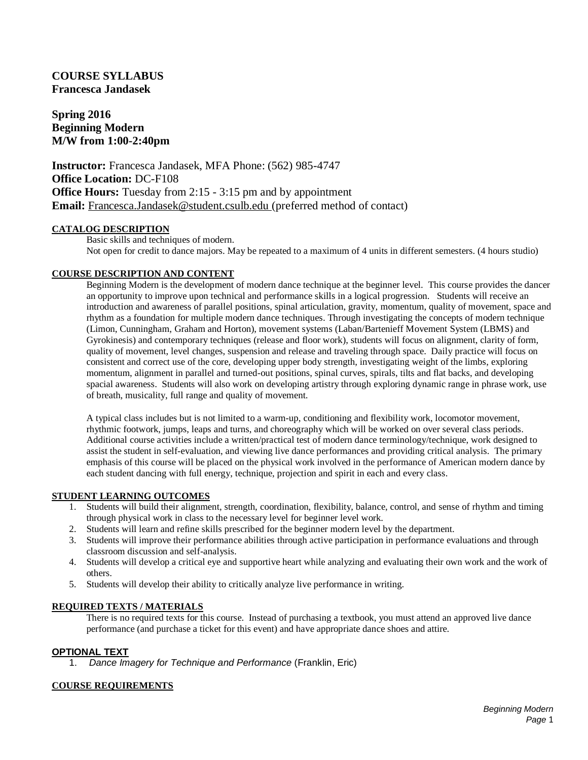# **COURSE SYLLABUS Francesca Jandasek**

**Spring 2016 Beginning Modern M/W from 1:00-2:40pm**

**Instructor:** Francesca Jandasek, MFA Phone: (562) 985-4747 **Office Location:** DC-F108 **Office Hours:** Tuesday from 2:15 - 3:15 pm and by appointment **Email:** Francesca.Jandasek@student.csulb.edu (preferred method of contact)

### **CATALOG DESCRIPTION**

Basic skills and techniques of modern. Not open for credit to dance majors. May be repeated to a maximum of 4 units in different semesters. (4 hours studio)

# **COURSE DESCRIPTION AND CONTENT**

Beginning Modern is the development of modern dance technique at the beginner level. This course provides the dancer an opportunity to improve upon technical and performance skills in a logical progression. Students will receive an introduction and awareness of parallel positions, spinal articulation, gravity, momentum, quality of movement, space and rhythm as a foundation for multiple modern dance techniques. Through investigating the concepts of modern technique (Limon, Cunningham, Graham and Horton), movement systems (Laban/Bartenieff Movement System (LBMS) and Gyrokinesis) and contemporary techniques (release and floor work), students will focus on alignment, clarity of form, quality of movement, level changes, suspension and release and traveling through space. Daily practice will focus on consistent and correct use of the core, developing upper body strength, investigating weight of the limbs, exploring momentum, alignment in parallel and turned-out positions, spinal curves, spirals, tilts and flat backs, and developing spacial awareness. Students will also work on developing artistry through exploring dynamic range in phrase work, use of breath, musicality, full range and quality of movement.

A typical class includes but is not limited to a warm-up, conditioning and flexibility work, locomotor movement, rhythmic footwork, jumps, leaps and turns, and choreography which will be worked on over several class periods. Additional course activities include a written/practical test of modern dance terminology/technique, work designed to assist the student in self-evaluation, and viewing live dance performances and providing critical analysis. The primary emphasis of this course will be placed on the physical work involved in the performance of American modern dance by each student dancing with full energy, technique, projection and spirit in each and every class.

### **STUDENT LEARNING OUTCOMES**

- 1. Students will build their alignment, strength, coordination, flexibility, balance, control, and sense of rhythm and timing through physical work in class to the necessary level for beginner level work.
- 2. Students will learn and refine skills prescribed for the beginner modern level by the department.
- 3. Students will improve their performance abilities through active participation in performance evaluations and through classroom discussion and self-analysis.
- 4. Students will develop a critical eye and supportive heart while analyzing and evaluating their own work and the work of others.
- 5. Students will develop their ability to critically analyze live performance in writing.

# **REQUIRED TEXTS / MATERIALS**

There is no required texts for this course. Instead of purchasing a textbook, you must attend an approved live dance performance (and purchase a ticket for this event) and have appropriate dance shoes and attire.

# **OPTIONAL TEXT**

1. *Dance Imagery for Technique and Performance* (Franklin, Eric)

# **COURSE REQUIREMENTS**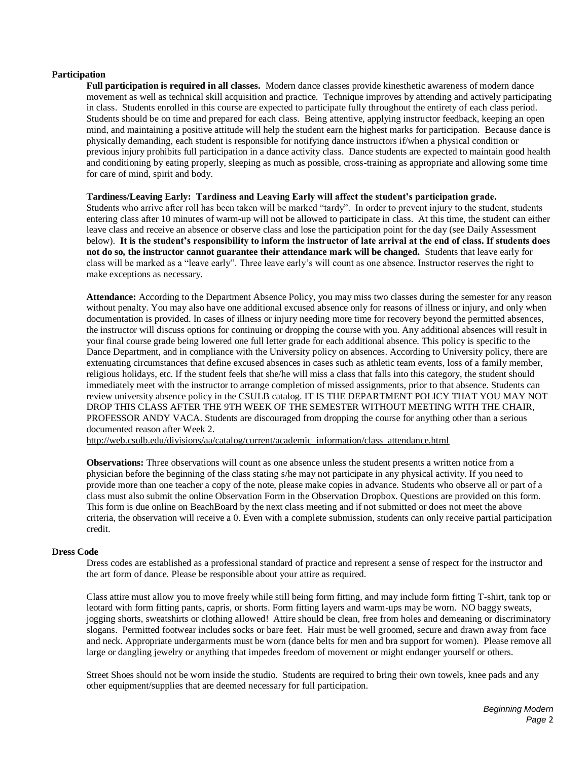### **Participation**

**Full participation is required in all classes.** Modern dance classes provide kinesthetic awareness of modern dance movement as well as technical skill acquisition and practice. Technique improves by attending and actively participating in class. Students enrolled in this course are expected to participate fully throughout the entirety of each class period. Students should be on time and prepared for each class. Being attentive, applying instructor feedback, keeping an open mind, and maintaining a positive attitude will help the student earn the highest marks for participation. Because dance is physically demanding, each student is responsible for notifying dance instructors if/when a physical condition or previous injury prohibits full participation in a dance activity class. Dance students are expected to maintain good health and conditioning by eating properly, sleeping as much as possible, cross-training as appropriate and allowing some time for care of mind, spirit and body.

#### **Tardiness/Leaving Early: Tardiness and Leaving Early will affect the student's participation grade.**

Students who arrive after roll has been taken will be marked "tardy". In order to prevent injury to the student, students entering class after 10 minutes of warm-up will not be allowed to participate in class. At this time, the student can either leave class and receive an absence or observe class and lose the participation point for the day (see Daily Assessment below). **It is the student's responsibility to inform the instructor of late arrival at the end of class. If students does not do so, the instructor cannot guarantee their attendance mark will be changed.** Students that leave early for class will be marked as a "leave early". Three leave early's will count as one absence. Instructor reserves the right to make exceptions as necessary.

**Attendance:** According to the Department Absence Policy, you may miss two classes during the semester for any reason without penalty. You may also have one additional excused absence only for reasons of illness or injury, and only when documentation is provided. In cases of illness or injury needing more time for recovery beyond the permitted absences, the instructor will discuss options for continuing or dropping the course with you. Any additional absences will result in your final course grade being lowered one full letter grade for each additional absence. This policy is specific to the Dance Department, and in compliance with the University policy on absences. According to University policy, there are extenuating circumstances that define excused absences in cases such as athletic team events, loss of a family member, religious holidays, etc. If the student feels that she/he will miss a class that falls into this category, the student should immediately meet with the instructor to arrange completion of missed assignments, prior to that absence. Students can review university absence policy in the CSULB catalog. IT IS THE DEPARTMENT POLICY THAT YOU MAY NOT DROP THIS CLASS AFTER THE 9TH WEEK OF THE SEMESTER WITHOUT MEETING WITH THE CHAIR, PROFESSOR ANDY VACA. Students are discouraged from dropping the course for anything other than a serious documented reason after Week 2.

[http://web.csulb.edu/divisions/aa/catalog/current/academic\\_information/class\\_attendance.html](http://web.csulb.edu/divisions/aa/catalog/current/academic_information/class_attendance.html)

**Observations:** Three observations will count as one absence unless the student presents a written notice from a physician before the beginning of the class stating s/he may not participate in any physical activity. If you need to provide more than one teacher a copy of the note, please make copies in advance. Students who observe all or part of a class must also submit the online Observation Form in the Observation Dropbox. Questions are provided on this form. This form is due online on BeachBoard by the next class meeting and if not submitted or does not meet the above criteria, the observation will receive a 0. Even with a complete submission, students can only receive partial participation credit.

#### **Dress Code**

Dress codes are established as a professional standard of practice and represent a sense of respect for the instructor and the art form of dance. Please be responsible about your attire as required.

Class attire must allow you to move freely while still being form fitting, and may include form fitting T-shirt, tank top or leotard with form fitting pants, capris, or shorts. Form fitting layers and warm-ups may be worn. NO baggy sweats, jogging shorts, sweatshirts or clothing allowed! Attire should be clean, free from holes and demeaning or discriminatory slogans. Permitted footwear includes socks or bare feet. Hair must be well groomed, secure and drawn away from face and neck. Appropriate undergarments must be worn (dance belts for men and bra support for women). Please remove all large or dangling jewelry or anything that impedes freedom of movement or might endanger yourself or others.

Street Shoes should not be worn inside the studio. Students are required to bring their own towels, knee pads and any other equipment/supplies that are deemed necessary for full participation.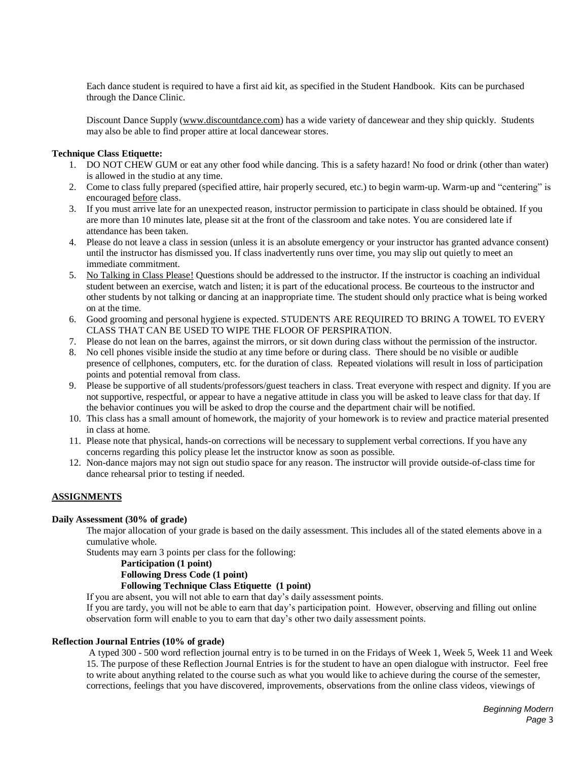Each dance student is required to have a first aid kit, as specified in the Student Handbook. Kits can be purchased through the Dance Clinic.

Discount Dance Supply [\(www.discountdance.com\)](http://www.discountdance.com/) has a wide variety of dancewear and they ship quickly. Students may also be able to find proper attire at local dancewear stores.

### **Technique Class Etiquette:**

- 1. DO NOT CHEW GUM or eat any other food while dancing. This is a safety hazard! No food or drink (other than water) is allowed in the studio at any time.
- 2. Come to class fully prepared (specified attire, hair properly secured, etc.) to begin warm-up. Warm-up and "centering" is encouraged before class.
- 3. If you must arrive late for an unexpected reason, instructor permission to participate in class should be obtained. If you are more than 10 minutes late, please sit at the front of the classroom and take notes. You are considered late if attendance has been taken.
- 4. Please do not leave a class in session (unless it is an absolute emergency or your instructor has granted advance consent) until the instructor has dismissed you. If class inadvertently runs over time, you may slip out quietly to meet an immediate commitment.
- 5. No Talking in Class Please! Questions should be addressed to the instructor. If the instructor is coaching an individual student between an exercise, watch and listen; it is part of the educational process. Be courteous to the instructor and other students by not talking or dancing at an inappropriate time. The student should only practice what is being worked on at the time.
- 6. Good grooming and personal hygiene is expected. STUDENTS ARE REQUIRED TO BRING A TOWEL TO EVERY CLASS THAT CAN BE USED TO WIPE THE FLOOR OF PERSPIRATION.
- 7. Please do not lean on the barres, against the mirrors, or sit down during class without the permission of the instructor.
- 8. No cell phones visible inside the studio at any time before or during class. There should be no visible or audible presence of cellphones, computers, etc. for the duration of class. Repeated violations will result in loss of participation points and potential removal from class.
- 9. Please be supportive of all students/professors/guest teachers in class. Treat everyone with respect and dignity. If you are not supportive, respectful, or appear to have a negative attitude in class you will be asked to leave class for that day. If the behavior continues you will be asked to drop the course and the department chair will be notified.
- 10. This class has a small amount of homework, the majority of your homework is to review and practice material presented in class at home.
- 11. Please note that physical, hands-on corrections will be necessary to supplement verbal corrections. If you have any concerns regarding this policy please let the instructor know as soon as possible.
- 12. Non-dance majors may not sign out studio space for any reason. The instructor will provide outside-of-class time for dance rehearsal prior to testing if needed.

# **ASSIGNMENTS**

#### **Daily Assessment (30% of grade)**

The major allocation of your grade is based on the daily assessment. This includes all of the stated elements above in a cumulative whole.

Students may earn 3 points per class for the following:

### **Participation (1 point)**

# **Following Dress Code (1 point)**

### **Following Technique Class Etiquette (1 point)**

If you are absent, you will not able to earn that day's daily assessment points.

If you are tardy, you will not be able to earn that day's participation point. However, observing and filling out online observation form will enable to you to earn that day's other two daily assessment points.

#### **Reflection Journal Entries (10% of grade)**

A typed 300 - 500 word reflection journal entry is to be turned in on the Fridays of Week 1, Week 5, Week 11 and Week 15. The purpose of these Reflection Journal Entries is for the student to have an open dialogue with instructor. Feel free to write about anything related to the course such as what you would like to achieve during the course of the semester, corrections, feelings that you have discovered, improvements, observations from the online class videos, viewings of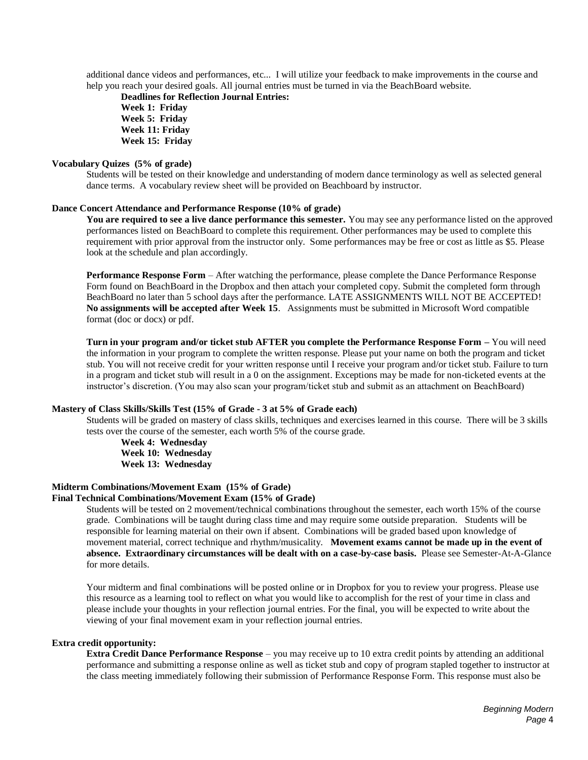additional dance videos and performances, etc... I will utilize your feedback to make improvements in the course and help you reach your desired goals. All journal entries must be turned in via the BeachBoard website.

**Deadlines for Reflection Journal Entries: Week 1: Friday Week 5: Friday Week 11: Friday Week 15: Friday**

### **Vocabulary Quizes (5% of grade)**

Students will be tested on their knowledge and understanding of modern dance terminology as well as selected general dance terms. A vocabulary review sheet will be provided on Beachboard by instructor.

#### **Dance Concert Attendance and Performance Response (10% of grade)**

**You are required to see a live dance performance this semester.** You may see any performance listed on the approved performances listed on BeachBoard to complete this requirement. Other performances may be used to complete this requirement with prior approval from the instructor only. Some performances may be free or cost as little as \$5. Please look at the schedule and plan accordingly.

**Performance Response Form** – After watching the performance, please complete the Dance Performance Response Form found on BeachBoard in the Dropbox and then attach your completed copy. Submit the completed form through BeachBoard no later than 5 school days after the performance. LATE ASSIGNMENTS WILL NOT BE ACCEPTED! **No assignments will be accepted after Week 15**. Assignments must be submitted in Microsoft Word compatible format (doc or docx) or pdf.

**Turn in your program and/or ticket stub AFTER you complete the Performance Response Form –** You will need the information in your program to complete the written response. Please put your name on both the program and ticket stub. You will not receive credit for your written response until I receive your program and/or ticket stub. Failure to turn in a program and ticket stub will result in a 0 on the assignment. Exceptions may be made for non-ticketed events at the instructor's discretion. (You may also scan your program/ticket stub and submit as an attachment on BeachBoard)

#### **Mastery of Class Skills/Skills Test (15% of Grade - 3 at 5% of Grade each)**

Students will be graded on mastery of class skills, techniques and exercises learned in this course. There will be 3 skills tests over the course of the semester, each worth 5% of the course grade.

**Week 4: Wednesday Week 10: Wednesday Week 13: Wednesday**

### **Midterm Combinations/Movement Exam (15% of Grade)**

### **Final Technical Combinations/Movement Exam (15% of Grade)**

Students will be tested on 2 movement/technical combinations throughout the semester, each worth 15% of the course grade. Combinations will be taught during class time and may require some outside preparation. Students will be responsible for learning material on their own if absent. Combinations will be graded based upon knowledge of movement material, correct technique and rhythm/musicality. **Movement exams cannot be made up in the event of absence. Extraordinary circumstances will be dealt with on a case-by-case basis.** Please see Semester-At-A-Glance for more details.

Your midterm and final combinations will be posted online or in Dropbox for you to review your progress. Please use this resource as a learning tool to reflect on what you would like to accomplish for the rest of your time in class and please include your thoughts in your reflection journal entries. For the final, you will be expected to write about the viewing of your final movement exam in your reflection journal entries.

#### **Extra credit opportunity:**

**Extra Credit Dance Performance Response** – you may receive up to 10 extra credit points by attending an additional performance and submitting a response online as well as ticket stub and copy of program stapled together to instructor at the class meeting immediately following their submission of Performance Response Form. This response must also be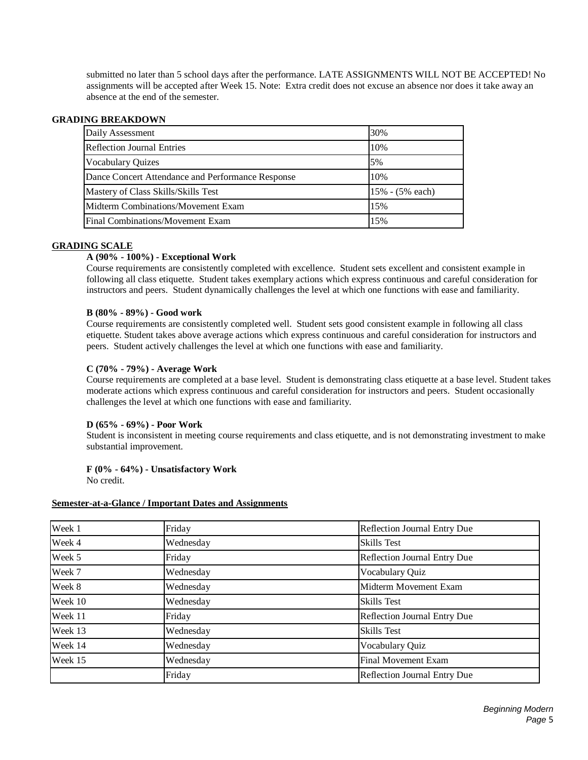submitted no later than 5 school days after the performance. LATE ASSIGNMENTS WILL NOT BE ACCEPTED! No assignments will be accepted after Week 15. Note: Extra credit does not excuse an absence nor does it take away an absence at the end of the semester.

# **GRADING BREAKDOWN**

| Daily Assessment                                  | 30%             |
|---------------------------------------------------|-----------------|
| <b>Reflection Journal Entries</b>                 | 10%             |
| <b>Vocabulary Quizes</b>                          | 5%              |
| Dance Concert Attendance and Performance Response | 10%             |
| Mastery of Class Skills/Skills Test               | 15% - (5% each) |
| Midterm Combinations/Movement Exam                | 15%             |
| Final Combinations/Movement Exam                  | 15%             |

# **GRADING SCALE**

### **A (90% - 100%) - Exceptional Work**

Course requirements are consistently completed with excellence. Student sets excellent and consistent example in following all class etiquette. Student takes exemplary actions which express continuous and careful consideration for instructors and peers. Student dynamically challenges the level at which one functions with ease and familiarity.

### **B (80% - 89%) - Good work**

Course requirements are consistently completed well. Student sets good consistent example in following all class etiquette. Student takes above average actions which express continuous and careful consideration for instructors and peers. Student actively challenges the level at which one functions with ease and familiarity.

### **C (70% - 79%) - Average Work**

Course requirements are completed at a base level. Student is demonstrating class etiquette at a base level. Student takes moderate actions which express continuous and careful consideration for instructors and peers. Student occasionally challenges the level at which one functions with ease and familiarity.

### **D (65% - 69%) - Poor Work**

Student is inconsistent in meeting course requirements and class etiquette, and is not demonstrating investment to make substantial improvement.

# **F (0% - 64%) - Unsatisfactory Work**

No credit.

#### **Semester-at-a-Glance / Important Dates and Assignments**

| Week 1  | Friday    | <b>Reflection Journal Entry Due</b> |
|---------|-----------|-------------------------------------|
| Week 4  | Wednesday | <b>Skills Test</b>                  |
| Week 5  | Friday    | Reflection Journal Entry Due        |
| Week 7  | Wednesday | Vocabulary Quiz                     |
| Week 8  | Wednesday | Midterm Movement Exam               |
| Week 10 | Wednesday | <b>Skills Test</b>                  |
| Week 11 | Friday    | <b>Reflection Journal Entry Due</b> |
| Week 13 | Wednesday | <b>Skills Test</b>                  |
| Week 14 | Wednesday | Vocabulary Quiz                     |
| Week 15 | Wednesday | <b>Final Movement Exam</b>          |
|         | Friday    | <b>Reflection Journal Entry Due</b> |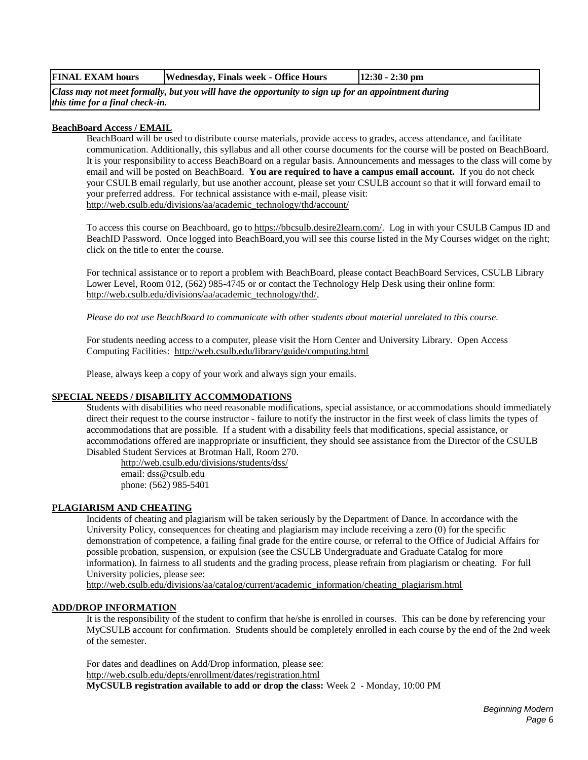|  | FINAL EXAM hours | Wednesday, Finals week - Office Hours | $12:30 - 2:30$ pm |
|--|------------------|---------------------------------------|-------------------|
|--|------------------|---------------------------------------|-------------------|

*Class may not meet formally, but you will have the opportunity to sign up for an appointment during this time for a final check-in.*

### **BeachBoard Access / EMAIL**

BeachBoard will be used to distribute course materials, provide access to grades, access attendance, and facilitate communication. Additionally, this syllabus and all other course documents for the course will be posted on BeachBoard. It is your responsibility to access BeachBoard on a regular basis. Announcements and messages to the class will come by email and will be posted on BeachBoard. **You are required to have a campus email account.** If you do not check your CSULB email regularly, but use another account, please set your CSULB account so that it will forward email to your preferred address. For technical assistance with e-mail, please visit: [http://web.csulb.edu/divisions/aa/academic\\_technology/thd/account/](http://web.csulb.edu/divisions/aa/academic_technology/thd/account/)

To access this course on Beachboard, go to [https://bbcsulb.desire2learn.com/.](https://bbcsulb.desire2learn.com/) Log in with your CSULB Campus ID and BeachID Password. Once logged into BeachBoard,you will see this course listed in the My Courses widget on the right; click on the title to enter the course.

For technical assistance or to report a problem with BeachBoard, please contact BeachBoard Services, CSULB Library Lower Level, Room 012, (562) 985-4745 or or contact the Technology Help Desk using their online form: [http://web.csulb.edu/divisions/aa/academic\\_technology/thd/.](http://web.csulb.edu/divisions/aa/academic_technology/thd/)

*Please do not use BeachBoard to communicate with other students about material unrelated to this course.*

For students needing access to a computer, please visit the Horn Center and University Library. Open Access Computing Facilities: <http://web.csulb.edu/library/guide/computing.html>

Please, always keep a copy of your work and always sign your emails.

# **SPECIAL NEEDS / DISABILITY ACCOMMODATIONS**

Students with disabilities who need reasonable modifications, special assistance, or accommodations should immediately direct their request to the course instructor - failure to notify the instructor in the first week of class limits the types of accommodations that are possible. If a student with a disability feels that modifications, special assistance, or accommodations offered are inappropriate or insufficient, they should see assistance from the Director of the CSULB Disabled Student Services at Brotman Hall, Room 270.

<http://web.csulb.edu/divisions/students/dss/> email: [dss@csulb.edu](mailto:dss@csulb.edu) phone: (562) 985-5401

# **PLAGIARISM AND CHEATING**

Incidents of cheating and plagiarism will be taken seriously by the Department of Dance. In accordance with the University Policy, consequences for cheating and plagiarism may include receiving a zero (0) for the specific demonstration of competence, a failing final grade for the entire course, or referral to the Office of Judicial Affairs for possible probation, suspension, or expulsion (see the CSULB Undergraduate and Graduate Catalog for more information). In fairness to all students and the grading process, please refrain from plagiarism or cheating. For full University policies, please see:

[http://web.csulb.edu/divisions/aa/catalog/current/academic\\_information/cheating\\_plagiarism.html](http://web.csulb.edu/divisions/aa/catalog/current/academic_information/cheating_plagiarism.html)

#### **ADD/DROP INFORMATION**

It is the responsibility of the student to confirm that he/she is enrolled in courses. This can be done by referencing your MyCSULB account for confirmation. Students should be completely enrolled in each course by the end of the 2nd week of the semester.

For dates and deadlines on Add/Drop information, please see: <http://web.csulb.edu/depts/enrollment/dates/registration.html> **MyCSULB registration available to add or drop the class:** Week 2 - Monday, 10:00 PM